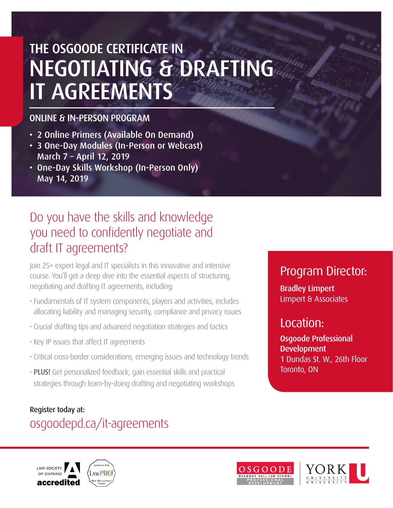## THE OSGOODE CERTIFICATE IN NEGOTIATING & DRAFTING IT AGREEMENTS

#### ONLINE & IN-PERSON PROGRAM

- 2 Online Primers (Available On Demand)
- 3 One-Day Modules (In-Person or Webcast) March 7 – April 12, 2019
- One-Day Skills Workshop (In-Person Only) May 14, 2019

## Do you have the skills and knowledge you need to confidently negotiate and draft IT agreements?

Join 25+ expert legal and IT specialists in this innovative and intensive course. You'll get a deep dive into the essential aspects of structuring, negotiating and drafting IT agreements, including:

- Fundamentals of IT system components, players and activities, includes allocating liability and managing security, compliance and privacy issues
- Crucial drafting tips and advanced negotiation strategies and tactics
- Key IP issues that affect IT agreements
- Critical cross-border considerations, emerging issues and technology trends
- PLUS! Get personalized feedback, gain essential skills and practical strategies through learn-by-doing drafting and negotiating workshops

### Register today at: [osgoodepd.ca/it-agreements](http://www.osgoodepd.ca/upcoming_programs/the-osgoode-certificate-in-negotiating-and-drafting-it-agreements/?utm_medium=digital&utm_source=brochure&utm_campaign=certificate+it+agreements)



## Program Director:

Bradley Limpert Limpert & Associates

## Location:

Osgoode Professional Development 1 Dundas St. W., 26th Floor Toronto, ON

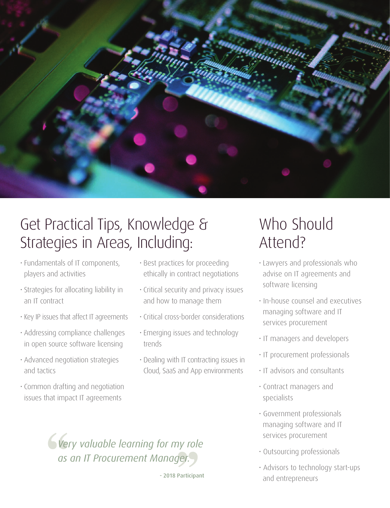

## Get Practical Tips, Knowledge & Strategies in Areas, Including:

- Fundamentals of IT components, players and activities
- Strategies for allocating liability in an IT contract
- Key IP issues that affect IT agreements
- Addressing compliance challenges in open source software licensing
- Advanced negotiation strategies and tactics
- Common drafting and negotiation issues that impact IT agreements
- Best practices for proceeding ethically in contract negotiations
- Critical security and privacy issues and how to manage them
- Critical cross-border considerations
- Emerging issues and technology trends
- Dealing with IT contracting issues in Cloud, SaaS and App environments

## Who Should Attend?

- Lawyers and professionals who advise on IT agreements and software licensing
- In-house counsel and executives managing software and IT services procurement
- IT managers and developers
- IT procurement professionals
- IT advisors and consultants
- Contract managers and specialists
- Government professionals managing software and IT services procurement
- Outsourcing professionals
- Advisors to technology start-ups and entrepreneurs

*Very valuable learning for my role as an IT Procurement Manager.*

- 2018 Participant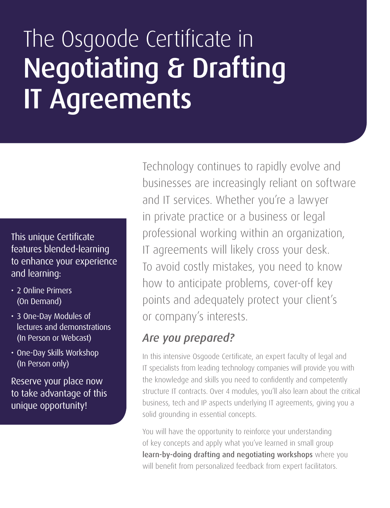## The Osgoode Certificate in Negotiating & Drafting IT Agreements

This unique Certificate features blended-learning to enhance your experience and learning:

- 2 Online Primers (On Demand)
- 3 One-Day Modules of lectures and demonstrations (In Person or Webcast)
- One-Day Skills Workshop (In Person only)

Reserve your place now to take advantage of this unique opportunity!

Technology continues to rapidly evolve and businesses are increasingly reliant on software and IT services. Whether you're a lawyer in private practice or a business or legal professional working within an organization, IT agreements will likely cross your desk. To avoid costly mistakes, you need to know how to anticipate problems, cover-off key points and adequately protect your client's or company's interests.

### *Are you prepared?*

In this intensive Osgoode Certificate, an expert faculty of legal and IT specialists from leading technology companies will provide you with the knowledge and skills you need to confidently and competently structure IT contracts. Over 4 modules, you'll also learn about the critical business, tech and IP aspects underlying IT agreements, giving you a solid grounding in essential concepts.

You will have the opportunity to reinforce your understanding of key concepts and apply what you've learned in small group learn-by-doing drafting and negotiating workshops where you will benefit from personalized feedback from expert facilitators.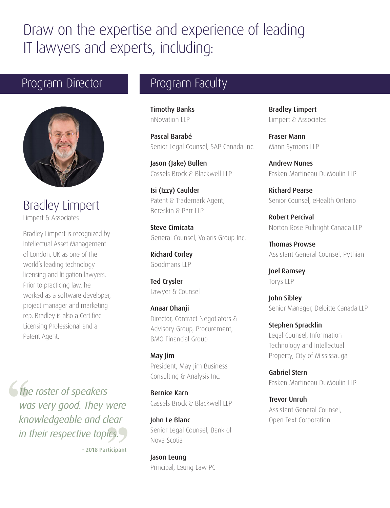## Draw on the expertise and experience of leading IT lawyers and experts, including:

## Program Director **Program Faculty**



Bradley Limpert Limpert & Associates

Bradley Limpert is recognized by Intellectual Asset Management of London, UK as one of the world's leading technology licensing and litigation lawyers. Prior to practicing law, he worked as a software developer, project manager and marketing rep. Bradley is also a Certified Licensing Professional and a Patent Agent.

*The roster of speakers was very good. They were knowledgeable and clear in their respective topics.*

- 2018 Participant

Timothy Banks nNovation LLP

Pascal Barabé Senior Legal Counsel, SAP Canada Inc.

Jason (Jake) Bullen Cassels Brock & Blackwell LLP

Isi (Izzy) Caulder Patent & Trademark Agent, Bereskin & Parr LLP

Steve Cimicata General Counsel, Volaris Group Inc.

Richard Corley Goodmans LLP

Ted Crysler Lawyer & Counsel

Anaar Dhanji Director, Contract Negotiators & Advisory Group, Procurement, BMO Financial Group

May Jim President, May Jim Business Consulting & Analysis Inc.

Bernice Karn Cassels Brock & Blackwell LLP

John Le Blanc Senior Legal Counsel, Bank of Nova Scotia

Jason Leung Principal, Leung Law PC Bradley Limpert Limpert & Associates

Fraser Mann Mann Symons LLP

Andrew Nunes Fasken Martineau DuMoulin LLP

Richard Pearse Senior Counsel, eHealth Ontario

Robert Percival Norton Rose Fulbright Canada LLP

Thomas Prowse Assistant General Counsel, Pythian

Joel Ramsey Torys LLP

John Sibley Senior Manager, Deloitte Canada LLP

Stephen Spracklin Legal Counsel, Information Technology and Intellectual Property, City of Mississauga

Gabriel Stern Fasken Martineau DuMoulin LLP

Trevor Unruh Assistant General Counsel, Open Text Corporation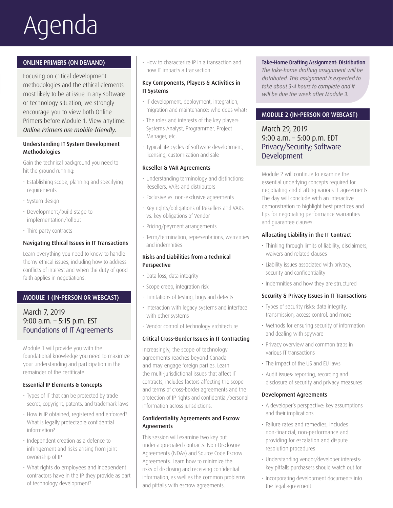# Agenda

#### ONLINE PRIMERS (ON DEMAND)

Focusing on critical development methodologies and the ethical elements most likely to be at issue in any software or technology situation, we strongly encourage you to view both Online Primers before Module 1. View anytime. *Online Primers are mobile-friendly.*

#### Understanding IT System Development Methodologies

Gain the technical background you need to hit the ground running:

- Establishing scope, planning and specifying requirements
- System design
- Development/build stage to implementation/rollout
- Third party contracts

#### Navigating Ethical Issues in IT Transactions

Learn everything you need to know to handle thorny ethical issues, including how to address conflicts of interest and when the duty of good faith applies in negotiations.

#### MODULE 1 (IN-PERSON OR WEBCAST)

#### March 7, 2019 9:00 a.m. – 5:15 p.m. EST Foundations of IT Agreements

Module 1 will provide you with the foundational knowledge you need to maximize your understanding and participation in the remainder of the certificate.

#### Essential IP Elements & Concepts

- Types of IT that can be protected by trade secret, copyright, patents, and trademark laws
- How is IP obtained, registered and enforced? What is legally protectable confidential information?
- Independent creation as a defence to infringement and risks arising from joint ownership of IP
- What rights do employees and independent contractors have in the IP they provide as part of technology development?

• How to characterize IP in a transaction and how IT impacts a transaction

#### Key Components, Players & Activities in IT Systems

- IT development, deployment, integration, migration and maintenance: who does what?
- The roles and interests of the key players: Systems Analyst, Programmer, Project Manager, etc.
- Typical life cycles of software development, licensing, customization and sale

#### Reseller & VAR Agreements

- Understanding terminology and distinctions: Resellers, VARs and distributors
- Exclusive vs. non-exclusive agreements
- Key rights/obligations of Resellers and VARs vs. key obligations of Vendor
- Pricing/payment arrangements
- Term/termination, representations, warranties and indemnities

#### Risks and Liabilities from a Technical Perspective

- Data loss, data integrity
- Scope creep, integration risk
- Limitations of testing, bugs and defects
- Interaction with legacy systems and interface with other systems
- Vendor control of technology architecture

#### Critical Cross-Border Issues in IT Contracting

Increasingly, the scope of technology agreements reaches beyond Canada and may engage foreign parties. Learn the multi-jurisdictional issues that affect IT contracts, includes factors affecting the scope and terms of cross-border agreements and the protection of IP rights and confidential/personal information across jurisdictions.

#### Confidentiality Agreements and Escrow Agreements

This session will examine two key but under-appreciated contracts: Non-Disclosure Agreements (NDAs) and Source Code Escrow Agreements. Learn how to minimize the risks of disclosing and receiving confidential information, as well as the common problems and pitfalls with escrow agreements.

Take-Home Drafting Assignment: Distribution *The take-home drafting assignment will be distributed. This assignment is expected to take about 3-4 hours to complete and it will be due the week after Module 3.*

#### MODULE 2 (IN-PERSON OR WEBCAST)

#### March 29, 2019 9:00 a.m. – 5:00 p.m. EDT Privacy/Security; Software Development

Module 2 will continue to examine the essential underlying concepts required for negotiating and drafting various IT agreements. The day will conclude with an interactive demonstration to highlight best practices and tips for negotiating performance warranties and guarantee clauses.

#### Allocating Liability in the IT Contract

- Thinking through limits of liability, disclaimers, waivers and related clauses
- Liability issues associated with privacy, security and confidentiality
- Indemnities and how they are structured

#### Security & Privacy Issues in IT Transactions

- Types of security risks: data integrity, transmission, access control, and more
- Methods for ensuring security of information and dealing with spyware
- Privacy overview and common traps in various IT transactions
- The impact of the US and EU laws
- Audit issues: reporting, recording and disclosure of security and privacy measures

#### Development Agreements

- A developer's perspective: key assumptions and their implications
- Failure rates and remedies, includes non-financial, non-performance and providing for escalation and dispute resolution procedures
- Understanding vendor/developer interests: key pitfalls purchasers should watch out for
- Incorporating development documents into the legal agreement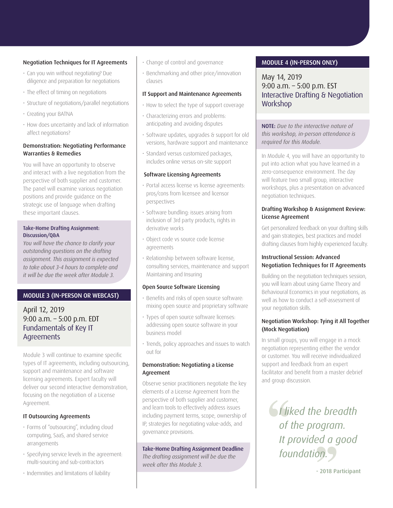#### Negotiation Techniques for IT Agreements

- Can you win without negotiating? Due diligence and preparation for negotiations
- The effect of timing on negotiations
- Structure of negotiations/parallel negotiations
- Creating your BATNA
- How does uncertainty and lack of information affect negotiations?

#### Demonstration: Negotiating Performance Warranties & Remedies

You will have an opportunity to observe and interact with a live negotiation from the perspective of both supplier and customer. The panel will examine various negotiation positions and provide guidance on the strategic use of language when drafting these important clauses.

#### Take-Home Drafting Assignment: Discussion/Q&A

*You will have the chance to clarify your outstanding questions on the drafting assignment. This assignment is expected to take about 3-4 hours to complete and it will be due the week after Module 3.*

#### MODULE 3 (IN-PERSON OR WEBCAST)

#### April 12, 2019 9:00 a.m. – 5:00 p.m. EDT Fundamentals of Key IT Agreements

Module 3 will continue to examine specific types of IT agreements, including outsourcing, support and maintenance and software licensing agreements. Expert faculty will deliver our second interactive demonstration, focusing on the negotiation of a License Agreement.

#### IT Outsourcing Agreements

- Forms of "outsourcing", including cloud computing, SaaS, and shared service arrangements
- Specifying service levels in the agreement: multi-sourcing and sub-contractors
- Indemnities and limitations of liability
- Change of control and governance
- Benchmarking and other price/innovation clauses

#### IT Support and Maintenance Agreements

- How to select the type of support coverage
- Characterizing errors and problems: anticipating and avoiding disputes
- Software updates, upgrades & support for old versions, hardware support and maintenance
- Standard versus customized packages, includes online versus on-site support

#### Software Licensing Agreements

- Portal access license vs license agreements: pros/cons from licensee and licensor perspectives
- Software bundling: issues arising from inclusion of 3rd party products, rights in derivative works
- Object code vs source code license agreements
- Relationship between software license, consulting services, maintenance and support Maintaining and Insuring

#### Open Source Software Licensing

- Benefits and risks of open source software: mixing open source and proprietary software
- Types of open source software licenses: addressing open source software in your business model
- Trends, policy approaches and issues to watch out for

#### Demonstration: Negotiating a License Agreement

Observe senior practitioners negotiate the key elements of a License Agreement from the perspective of both supplier and customer, and learn tools to effectively address issues including payment terms, scope, ownership of IP, strategies for negotiating value-adds, and governance provisions.

Take-Home Drafting Assignment Deadline *The drafting assignment will be due the week after this Module 3.*

#### MODULE 4 (IN-PERSON ONLY)

May 14, 2019 9:00 a.m. – 5:00 p.m. EST Interactive Drafting & Negotiation **Workshop** 

NOTE: *Due to the interactive nature of this workshop, in-person attendance is required for this Module.*

In Module 4, you will have an opportunity to put into action what you have learned in a zero-consequence environment. The day will feature two small group, interactive workshops, plus a presentation on advanced negotiation techniques.

#### Drafting Workshop & Assignment Review: License Agreement

Get personalized feedback on your drafting skills and gain strategies, best practices and model drafting clauses from highly experienced faculty.

#### Instructional Session: Advanced Negotiation Techniques for IT Agreements

Building on the negotiation techniques session, you will learn about using Game Theory and Behavioural Economics in your negotiations, as well as how to conduct a self-assessment of your negotiation skills.

#### Negotiation Workshop: Tying it All Together (Mock Negotiation)

In small groups, you will engage in a mock negotiation representing either the vendor or customer. You will receive individualized support and feedback from an expert facilitator and benefit from a master debrief and group discussion.

*I liked the breadth of the program. It provided a good foundation.*